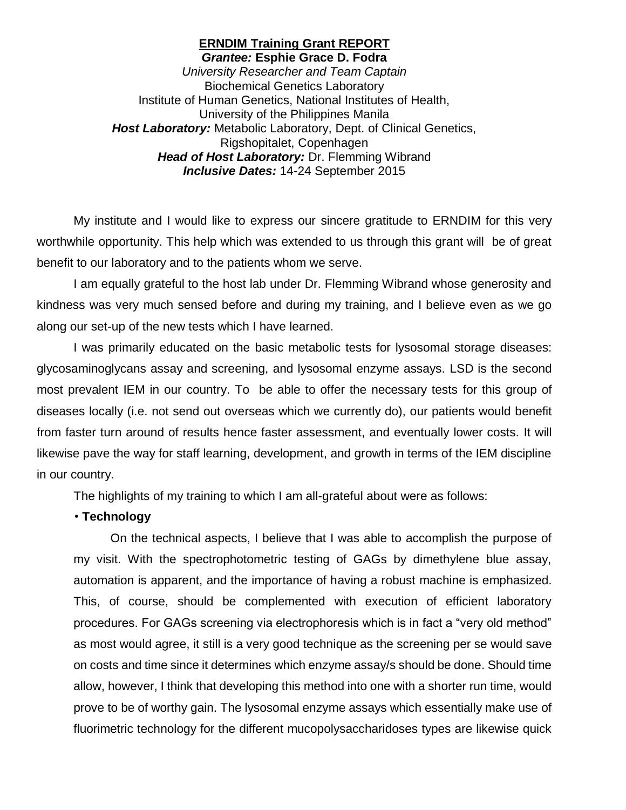#### **ERNDIM Training Grant REPORT** *Grantee:* **Esphie Grace D. Fodra**

*University Researcher and Team Captain* Biochemical Genetics Laboratory Institute of Human Genetics, National Institutes of Health, University of the Philippines Manila *Host Laboratory:* Metabolic Laboratory, Dept. of Clinical Genetics, Rigshopitalet, Copenhagen *Head of Host Laboratory:* Dr. Flemming Wibrand *Inclusive Dates:* 14-24 September 2015

My institute and I would like to express our sincere gratitude to ERNDIM for this very worthwhile opportunity. This help which was extended to us through this grant will be of great benefit to our laboratory and to the patients whom we serve.

I am equally grateful to the host lab under Dr. Flemming Wibrand whose generosity and kindness was very much sensed before and during my training, and I believe even as we go along our set-up of the new tests which I have learned.

I was primarily educated on the basic metabolic tests for lysosomal storage diseases: glycosaminoglycans assay and screening, and lysosomal enzyme assays. LSD is the second most prevalent IEM in our country. To be able to offer the necessary tests for this group of diseases locally (i.e. not send out overseas which we currently do), our patients would benefit from faster turn around of results hence faster assessment, and eventually lower costs. It will likewise pave the way for staff learning, development, and growth in terms of the IEM discipline in our country.

The highlights of my training to which I am all-grateful about were as follows:

## • **Technology**

On the technical aspects, I believe that I was able to accomplish the purpose of my visit. With the spectrophotometric testing of GAGs by dimethylene blue assay, automation is apparent, and the importance of having a robust machine is emphasized. This, of course, should be complemented with execution of efficient laboratory procedures. For GAGs screening via electrophoresis which is in fact a "very old method" as most would agree, it still is a very good technique as the screening per se would save on costs and time since it determines which enzyme assay/s should be done. Should time allow, however, I think that developing this method into one with a shorter run time, would prove to be of worthy gain. The lysosomal enzyme assays which essentially make use of fluorimetric technology for the different mucopolysaccharidoses types are likewise quick